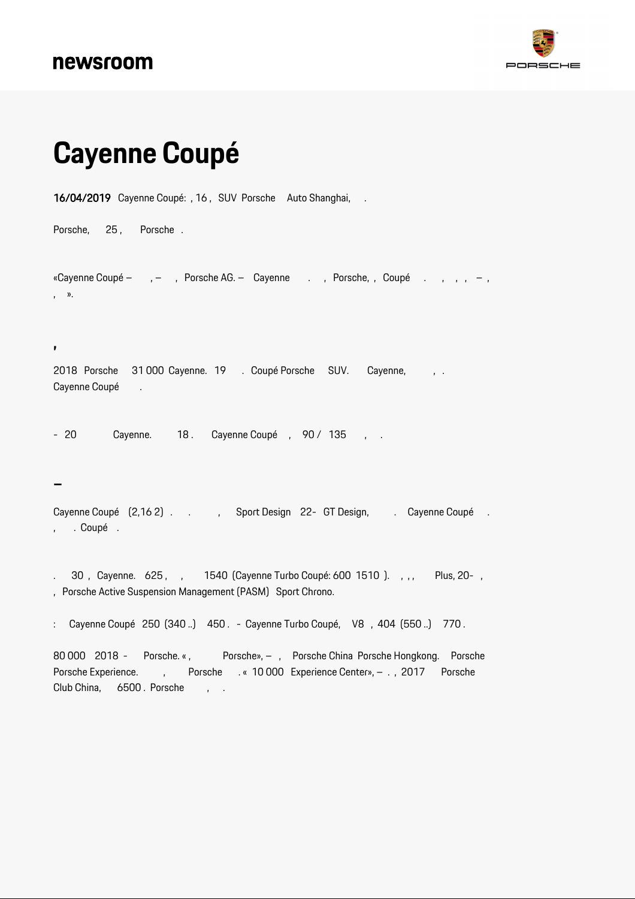## newsroom



## **Cayenne Coupé**

16/04/2019 Cayenne Coupé: , 16 , SUV Porsche Auto Shanghai, .

Porsche, 25, Porsche.

«Cayenne Coupé – , – , Porsche AG. – Cayenne . , Porsche, , Coupé . , , , –, , ».

2018 Porsche 31 000 Cayenne. 19 . Coupé Porsche SUV. Cayenne, , . Cayenne Coupé .

- 20 Cayenne. 18. Cayenne Coupé, 90 / 135, .

**–**

**,**

Cayenne Coupé  $(2, 162)$  . , Sport Design 22- GT Design, . Cayenne Coupé . , . Coupé .

. 30, Cayenne. 625, , 1540 (Cayenne Turbo Coupé: 600 1510). , , , Plus, 20-, , Porsche Active Suspension Management (PASM) Sport Chrono.

: Cayenne Coupé 250 (340 ..) 450 . - Cayenne Turbo Coupé, V8 , 404 (550 ..) 770 .

80 000 2018 - Porsche. «, Porsche», – , Porsche China Porsche Hongkong. Porsche Porsche Experience. (b) Porsche . « 10 000 Experience Center», - . , 2017 Porsche Club China, 6500 . Porsche, , .